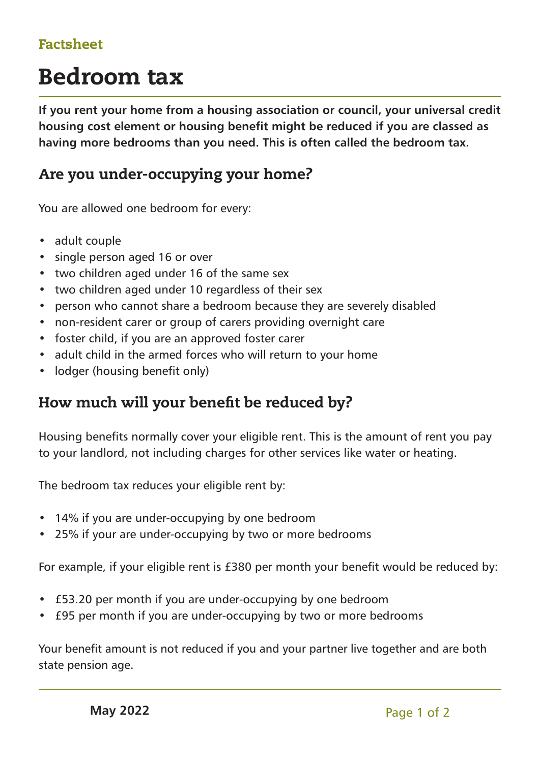## Factsheet

# Bedroom tax

**If you rent your home from a housing association or council, your universal credit housing cost element or housing benefit might be reduced if you are classed as having more bedrooms than you need. This is often called the bedroom tax.**

# Are you under-occupying your home?

You are allowed one bedroom for every:

- adult couple
- single person aged 16 or over
- two children aged under 16 of the same sex
- two children aged under 10 regardless of their sex
- person who cannot share a bedroom because they are severely disabled
- non-resident carer or group of carers providing overnight care
- foster child, if you are an approved foster carer
- adult child in the armed forces who will return to your home
- lodger (housing benefit only)

### How much will your benefit be reduced by?

Housing benefits normally cover your eligible rent. This is the amount of rent you pay to your landlord, not including charges for other services like water or heating.

The bedroom tax reduces your eligible rent by:

- 14% if you are under-occupying by one bedroom
- 25% if your are under-occupying by two or more bedrooms

For example, if your eligible rent is £380 per month your benefit would be reduced by:

- £53.20 per month if you are under-occupying by one bedroom
- £95 per month if you are under-occupying by two or more bedrooms

Your benefit amount is not reduced if you and your partner live together and are both state pension age.